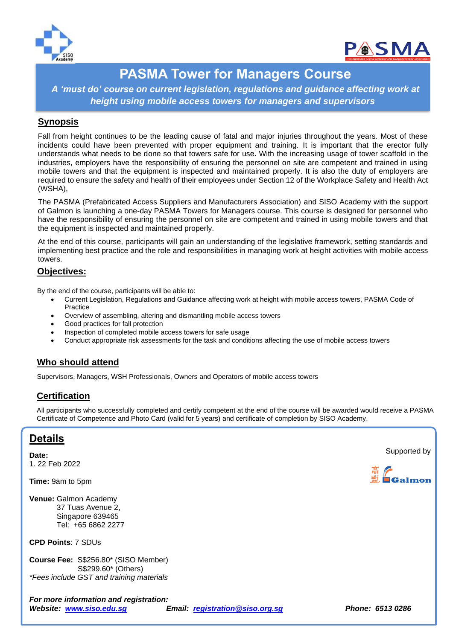



# **PASMA Tower for Managers Course**

*A 'must do' course on current legislation, regulations and guidance affecting work at height using mobile access towers for managers and supervisors* 

#### **Synopsis**

Fall from height continues to be the leading cause of fatal and major injuries throughout the years. Most of these incidents could have been prevented with proper equipment and training. It is important that the erector fully understands what needs to be done so that towers safe for use. With the increasing usage of tower scaffold in the industries, employers have the responsibility of ensuring the personnel on site are competent and trained in using mobile towers and that the equipment is inspected and maintained properly. It is also the duty of employers are required to ensure the safety and health of their employees under Section 12 of the Workplace Safety and Health Act (WSHA),

The PASMA (Prefabricated Access Suppliers and Manufacturers Association) and SISO Academy with the support of Galmon is launching a one-day PASMA Towers for Managers course. This course is designed for personnel who have the responsibility of ensuring the personnel on site are competent and trained in using mobile towers and that the equipment is inspected and maintained properly.

At the end of this course, participants will gain an understanding of the legislative framework, setting standards and implementing best practice and the role and responsibilities in managing work at height activities with mobile access towers.

#### **Objectives:**

By the end of the course, participants will be able to:

- Current Legislation, Regulations and Guidance affecting work at height with mobile access towers, PASMA Code of Practice
- Overview of assembling, altering and dismantling mobile access towers
- Good practices for fall protection
- Inspection of completed mobile access towers for safe usage
- Conduct appropriate risk assessments for the task and conditions affecting the use of mobile access towers

## **Who should attend**

Supervisors, Managers, WSH Professionals, Owners and Operators of mobile access towers

## **Certification**

All participants who successfully completed and certify competent at the end of the course will be awarded would receive a PASMA Certificate of Competence and Photo Card (valid for 5 years) and certificate of completion by SISO Academy.

## **Details**

**Date:**  1. 22 Feb 2022 **Time:** 9am to 5pm **Venue:** Galmon Academy 37 Tuas Avenue 2, Singapore 639465 Tel: +65 6862 2277 **CPD Points**: 7 SDUs **Course Fee:** S\$256.80\* (SISO Member) S\$299.60\* (Others) *\*Fees include GST and training materials For more information and registration: Website: [www.siso.edu.sg](http://www.siso.edu.sg/) Email: [registration@siso.org.sg](mailto:registration@siso.org.sg) Phone: 6513 0286* Supported by